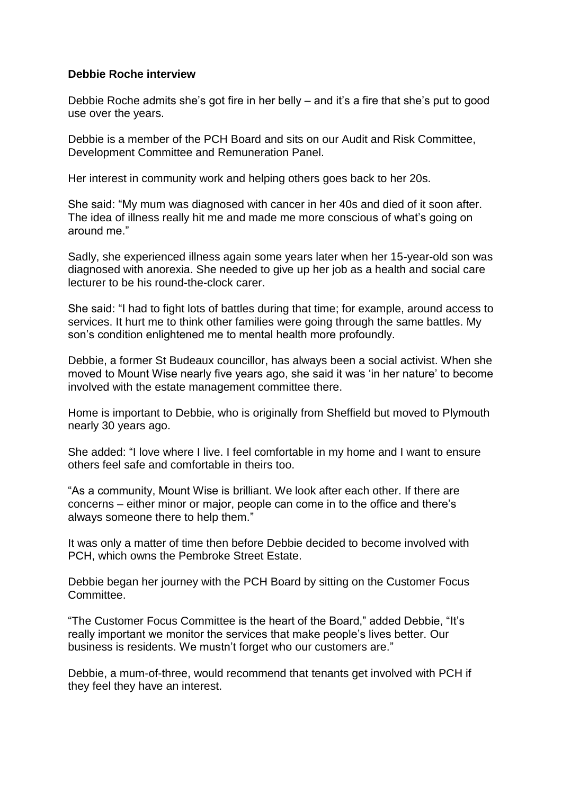## **Debbie Roche interview**

Debbie Roche admits she's got fire in her belly – and it's a fire that she's put to good use over the years.

Debbie is a member of the PCH Board and sits on our Audit and Risk Committee, Development Committee and Remuneration Panel.

Her interest in community work and helping others goes back to her 20s.

She said: "My mum was diagnosed with cancer in her 40s and died of it soon after. The idea of illness really hit me and made me more conscious of what's going on around me."

Sadly, she experienced illness again some years later when her 15-year-old son was diagnosed with anorexia. She needed to give up her job as a health and social care lecturer to be his round-the-clock carer.

She said: "I had to fight lots of battles during that time; for example, around access to services. It hurt me to think other families were going through the same battles. My son's condition enlightened me to mental health more profoundly.

Debbie, a former St Budeaux councillor, has always been a social activist. When she moved to Mount Wise nearly five years ago, she said it was 'in her nature' to become involved with the estate management committee there.

Home is important to Debbie, who is originally from Sheffield but moved to Plymouth nearly 30 years ago.

She added: "I love where I live. I feel comfortable in my home and I want to ensure others feel safe and comfortable in theirs too.

"As a community, Mount Wise is brilliant. We look after each other. If there are concerns – either minor or major, people can come in to the office and there's always someone there to help them."

It was only a matter of time then before Debbie decided to become involved with PCH, which owns the Pembroke Street Estate.

Debbie began her journey with the PCH Board by sitting on the Customer Focus Committee.

"The Customer Focus Committee is the heart of the Board," added Debbie, "It's really important we monitor the services that make people's lives better. Our business is residents. We mustn't forget who our customers are."

Debbie, a mum-of-three, would recommend that tenants get involved with PCH if they feel they have an interest.